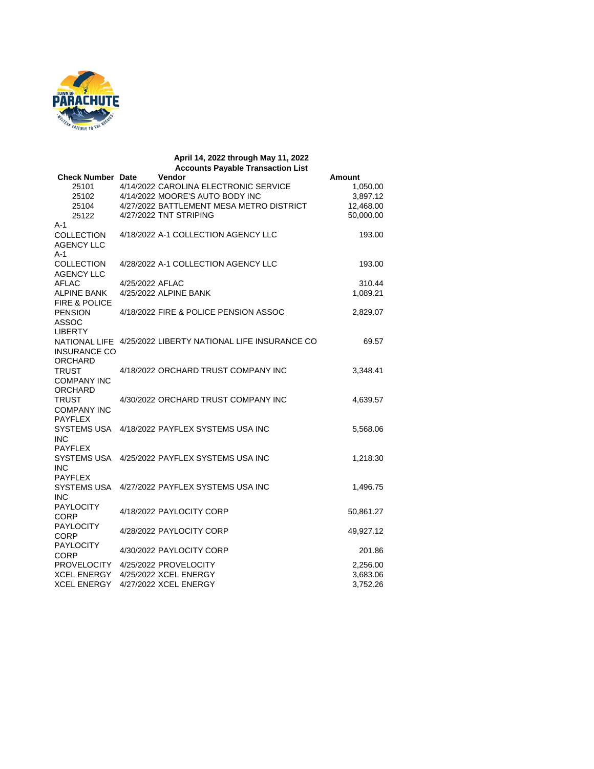

## **April 14, 2022 through May 11, 2022 Accounts Payable Transaction List Check Number Date Vendor Amount** 25101 4/14/2022 CAROLINA ELECTRONIC SERVICE 1,050.00<br>25102 4/14/2022 MOORE'S AUTO BODY INC 3,897.12 25102 4/14/2022 MOORE'S AUTO BODY INC 3,897.12<br>25104 4/27/2022 BATTLEMENT MESA METRO DISTRICT 12,468.00 25104 4/27/2022 BATTLEMENT MESA METRO DISTRICT 12,468.00<br>25122 4/27/2022 TNT STRIPING 4/27/2022 TNT STRIPING A-1 COLLECTION AGENCY LLC 4/18/2022 A-1 COLLECTION AGENCY LLC 193.00 A-1 COLLECTION AGENCY LLC<br>AFLAC 4/28/2022 A-1 COLLECTION AGENCY LLC 193.00 4/25/2022 AFLAC 310.44<br>4/25/2022 ALPINE BANK 1,089.21 ALPINE BANK 4/25/2022 ALPINE BANK FIRE & POLICE PENSION ASSOC 4/18/2022 FIRE & POLICE PENSION ASSOC 2,829.07 LIBERTY NATIONAL LIFE 4/25/2022 LIBERTY NATIONAL LIFE INSURANCE CO 69.57 INSURANCE CO ORCHARD TRUST COMPANY INC 4/18/2022 ORCHARD TRUST COMPANY INC 3,348.41 ORCHARD **TRUST** COMPANY INC 4/30/2022 ORCHARD TRUST COMPANY INC 4,639.57 PAYFLEX SYSTEMS USA 4/18/2022 PAYFLEX SYSTEMS USA INC  $5,568.06$ INC PAYFLEX SYSTEMS USA 4/25/2022 PAYFLEX SYSTEMS USA INC 1,218.30 INC PAYFLEX SYSTEMS USA 4/27/2022 PAYFLEX SYSTEMS USA INC 1,496.75 INC PAYLOCITY PATLOCITY 4/18/2022 PAYLOCITY CORP 50,861.27 PAYLOCITY 4/28/2022 PAYLOCITY CORP 49,927.12 PAYLOCITY TATLOOM 4/30/2022 PAYLOCITY CORP 201.86<br>
CORP 201.86<br>
PROVELOCITY 4/25/2022 PROVELOCITY 2,256.00 PROVELOCITY 4/25/2022 PROVELOCITY 2,256.00<br>
XCEL ENERGY 4/25/2022 XCEL ENERGY 20080202 20081.0683.06 XCEL ENERGY 4/25/2022 XCEL ENERGY XCEL ENERGY 4/27/2022 XCEL ENERGY 3,752.26